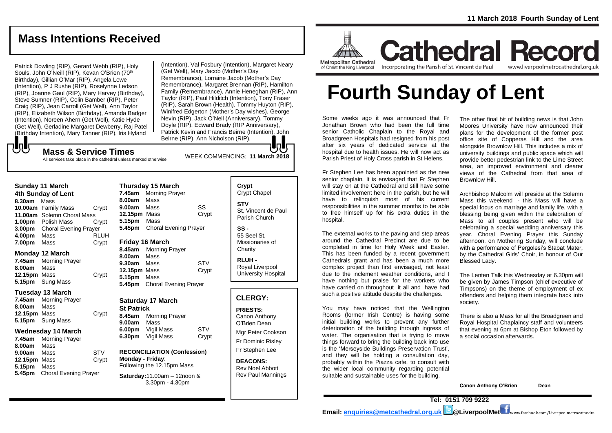# **Mass Intentions Received**

Patrick Dowling (RIP), Gerard Webb (RIP), Holy Souls, John O'Neill (RIP), Kevan O'Brien (70<sup>th</sup>) Birthday), Gillian O'Mar (RIP), Angela Lowe (Intention), P J Rushe (RIP), Roselynne Ledson (RIP), Joanne Gaul (RIP), Mary Harvey (Birthday), Steve Sumner (RIP), Colin Bamber (RIP), Peter Craig (RIP), Jean Carroll (Get Well), Ann Taylor (RIP), Elizabeth Wilson (Birthday), Amanda Badger (Intention), Noreen Ahern (Get Well), Katie Hyde (Get Well), Gerladine Margaret Dewberry, Raj Patel (Birthday Intention), Mary Tanner (RIP), Iris Hyland

WEEK COMMENCING: **<sup>11</sup> March <sup>2018</sup> Mass & Service Times** (Intention), Val Fosbury (Intention), Margaret Neary (Get Well), Mary Jacob (Mother's Day Remembrance), Lorraine Jacob (Mother's Day Remembrance), Margaret Brennan (RIP), Hamilton Family (Remembrance), Annie Heneghan (RIP), Ann Taylor (RIP), Paul Hilditch (Intention), Tony Fraser (RIP), Sarah Brown (Health), Tommy Huyton (RIP), Winifred Edgerton (Mother's Day wishes), George Nevin (RIP), Jack O'Neil (Anniversary), Tommy Doyle (RIP), Edward Brady (RIP Anniversary), Patrick Kevin and Francis Beirne (Intention), John Beirne (RIP), Ann Nicholson (RIP).

# もし

All services take place in the cathedral unless marked otherwise

| <b>Sunday 11 March</b> |                              |             |
|------------------------|------------------------------|-------------|
| 4th Sunday of Lent     |                              |             |
| 8.30am                 | Mass                         |             |
|                        | 10.00am Family Mass          | Crypt       |
| 11.00am                | Solemn Choral Mass           |             |
| 1.00 <sub>pm</sub>     | <b>Polish Mass</b>           | Crypt       |
| 3.00pm                 | <b>Choral Evening Prayer</b> |             |
| 4.00pm                 | Mass                         | <b>RLUH</b> |
| 7.00pm                 | Mass                         | Crypt       |

#### **Monday 12 March**

|              | <b>7.45am</b> Morning Prayer |       |
|--------------|------------------------------|-------|
| 8.00am Mass  |                              |       |
| 12.15pm Mass |                              | Crypt |
|              | 5.15pm Sung Mass             |       |

#### **Tuesday 13 March**

| 7.45am             | <b>Morning Prayer</b>   |       |
|--------------------|-------------------------|-------|
| <b>8.00am</b> Mass |                         |       |
| 12.15pm Mass       |                         | Crypt |
|                    | <b>5.15pm</b> Sung Mass |       |

#### **Wednesday 14 March**

| 7.45am       | <b>Morning Prayer</b>        |            |
|--------------|------------------------------|------------|
| 8.00am       | Mass                         |            |
| 9.00am       | Mass                         | <b>STV</b> |
| 12.15pm Mass |                              | Crypt      |
| 5.15pm Mass  |                              |            |
| 5.45pm       | <b>Choral Evening Prayer</b> |            |

| <b>Thursday 15 March</b>                        |                              |       |
|-------------------------------------------------|------------------------------|-------|
| 7.45am                                          | <b>Morning Prayer</b>        |       |
| 8.00am Mass                                     |                              |       |
| 9.00am Mass                                     |                              | SS    |
| 12.15pm Mass                                    |                              | Crypt |
| 5.15pm Mass                                     |                              |       |
|                                                 | 5.45pm Choral Evening Prayer |       |
| <b>Friday 16 March</b><br>8 45am Morning Prayer |                              |       |

**8.45am** Morning Prayer **8.00am** Mass **9.30am** Mass STV **12.15pm** Mass Crypt **5.15pm** Mass **5.45pm** Choral Evening Prayer

### **Saturday 17 March St Patrick 8.45am** Morning Prayer **9.00am** Mass

**6.00pm** Vigil Mass STV **6.30pm** Vigil Mass Crypt

### **RECONCILIATION (Confession) Monday - Friday**: Following the 12.15pm Mass

#### **Saturday:**11.00am – 12noon & 3.30pm - 4.30pm

| Crypt<br><b>Crypt Chapel</b>                       |
|----------------------------------------------------|
| <b>STV</b><br>St. Vincent de Paul<br>Parish Church |
| SS -<br>EF 0.101                                   |

55 Seel St, Missionaries of **Charity** 

**RLUH -** Royal Liverpool University Hospital

### **CLERGY:**

**PRIESTS:** Canon Anthony O'Brien *Dean* Mgr Peter Cookson

Fr Dominic Risley Fr Stephen Lee

**DEACONS:** Rev Noel Abbott Rev Paul Mannings



**Cathedral Record** Incorporating the Parish of St. Vincent de Paul www.liverpoolmetrocathedral.org.uk

**Fourth Sunday of Lent**

Some weeks ago it was announced that Fr Jonathan Brown who had been the full time senior Catholic Chaplain to the Royal and Broadgreen Hospitals had resigned from his post after six years of dedicated service at the hospital due to health issues. He will now act as Parish Priest of Holy Cross parish in St Helens.

Fr Stephen Lee has been appointed as the new senior chaplain. It is envisaged that Fr Stephen will stay on at the Cathedral and still have some limited involvement here in the parish, but he will have to relinquish most of his current responsibilities in the summer months to be able to free himself up for his extra duties in the hospital.

The external works to the paving and step areas around the Cathedral Precinct are due to be completed in time for Holy Week and Easter. This has been funded by a recent government Cathedrals grant and has been a much more complex project than first envisaged, not least due to the inclement weather conditions, and I have nothing but praise for the workers who have carried on throughout it all and have had such a positive attitude despite the challenges.

You may have noticed that the Wellington Rooms (former Irish Centre) is having some initial building works to prevent any further deterioration of the building through ingress of water. The organisation that is trying to move things forward to bring the building back into use is the 'Merseyside Buildings Preservation Trust', and they will be holding a consultation day, probably within the Piazza cafe, to consult with the wider local community regarding potential suitable and sustainable uses for the building.

The other final bit of building news is that John Moores University have now announced their plans for the development of the former post office site of Copperas Hill and the area alongside Brownlow Hill. This includes a mix of university buildings and public space which will provide better pedestrian link to the Lime Street area, an improved environment and clearer views of the Cathedral from that area of Brownlow Hill.

Archbishop Malcolm will preside at the Solemn Mass this weekend - this Mass will have a special focus on marriage and family life, with a blessing being given within the celebration of Mass to all couples present who will be celebrating a special wedding anniversary this year. Choral Evening Prayer this Sunday afternoon, on Mothering Sunday, will conclude with a performance of Pergolesi's Stabat Mater, by the Cathedral Girls' Choir, in honour of Our Blessed Lady.

The Lenten Talk this Wednesday at 6.30pm will be given by James Timpson (chief executive of Timpsons) on the theme of employment of ex offenders and helping them integrate back into society.

There is also a Mass for all the Broadgreen and Royal Hospital Chaplaincy staff and volunteers that evening at 6pm at Bishop Eton followed by a social occasion afterwards.

**Canon Anthony O'Brien Dean**

**Tel: 0151 709 9222 Email: [enquiries@metcathedral.org.uk](mailto:enquiries@metcathedral.org.uk) @LiverpoolMet** www.facebook.com/Liverpoolmetrocathedral